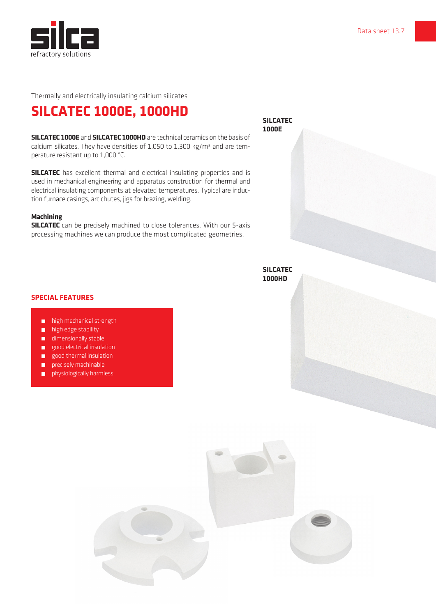

Thermally and electrically insulating calcium silicates

## **SILCATEC 1000E, 1000HD**

**SILCATEC 1000E** and **SILCATEC 1000HD** are technical ceramics on the basis of calcium silicates. They have densities of 1,050 to 1,300 kg/m<sup>3</sup> and are temperature resistant up to 1,000 °C.

**SILCATEC** has excellent thermal and electrical insulating properties and is used in mechanical engineering and apparatus construction for thermal and electrical insulating components at elevated temperatures. Typical are induction furnace casings, arc chutes, jigs for brazing, welding.

## **Machining**

**SILCATEC** can be precisely machined to close tolerances. With our 5-axis processing machines we can produce the most complicated geometries.

**SILCATEC 1000E**

**SILCATEC 1000HD**

## **SPECIAL FEATURES**

- high mechanical strength
- **high edge stability**
- dimensionally stable
- **good electrical insulation**
- good thermal insulation
- precisely machinable
- physiologically harmless